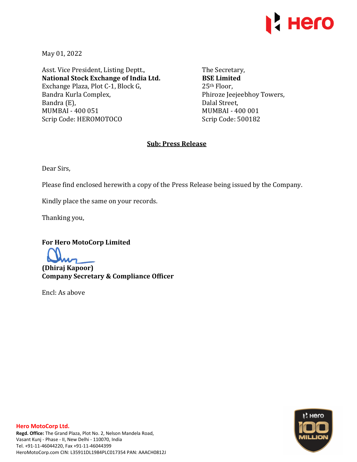

May 01, 2022

Asst. Vice President, Listing Deptt., **National Stock Exchange of India Ltd.**  Exchange Plaza, Plot C-1, Block G, Bandra Kurla Complex, Bandra (E), MUMBAI - 400 051 Scrip Code: HEROMOTOCO

The Secretary, **BSE Limited**  25th Floor, Phiroze Jeejeebhoy Towers, Dalal Street, MUMBAI - 400 001 Scrip Code: 500182

## **Sub: Press Release**

Dear Sirs,

Please find enclosed herewith a copy of the Press Release being issued by the Company.

Kindly place the same on your records.

Thanking you,

**For Hero MotoCorp Limited** 

**(Dhiraj Kapoor) Company Secretary & Compliance Officer** 

Encl: As above

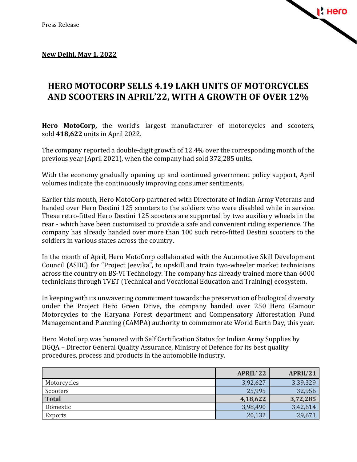

## **New Delhi, May 1, 2022**

## **HERO MOTOCORP SELLS 4.19 LAKH UNITS OF MOTORCYCLES AND SCOOTERS IN APRIL'22, WITH A GROWTH OF OVER 12%**

**Hero MotoCorp,** the world's largest manufacturer of motorcycles and scooters, sold **418,622** units in April 2022.

The company reported a double-digit growth of 12.4% over the corresponding month of the previous year (April 2021), when the company had sold 372,285 units.

With the economy gradually opening up and continued government policy support, April volumes indicate the continuously improving consumer sentiments.

Earlier this month, Hero MotoCorp partnered with Directorate of Indian Army Veterans and handed over Hero Destini 125 scooters to the soldiers who were disabled while in service. These retro-fitted Hero Destini 125 scooters are supported by two auxiliary wheels in the rear - which have been customised to provide a safe and convenient riding experience. The company has already handed over more than 100 such retro-fitted Destini scooters to the soldiers in various states across the country.

In the month of April, Hero MotoCorp collaborated with the Automotive Skill Development Council (ASDC) for "Project Jeevika", to upskill and train two-wheeler market technicians across the country on BS-VI Technology. The company has already trained more than 6000 technicians through TVET (Technical and Vocational Education and Training) ecosystem.

In keeping with its unwavering commitment towards the preservation of biological diversity under the Project Hero Green Drive, the company handed over 250 Hero Glamour Motorcycles to the Haryana Forest department and Compensatory Afforestation Fund Management and Planning (CAMPA) authority to commemorate World Earth Day, this year.

Hero MotoCorp was honored with Self Certification Status for Indian Army Supplies by DGQA – Director General Quality Assurance, Ministry of Defence for its best quality procedures, process and products in the automobile industry.

|              | <b>APRIL'22</b> | <b>APRIL'21</b> |
|--------------|-----------------|-----------------|
| Motorcycles  | 3,92,627        | 3,39,329        |
| Scooters     | 25,995          | 32,956          |
| <b>Total</b> | 4,18,622        | 3,72,285        |
| Domestic     | 3,98,490        | 3,42,614        |
| Exports      | 20,132          | 29,671          |